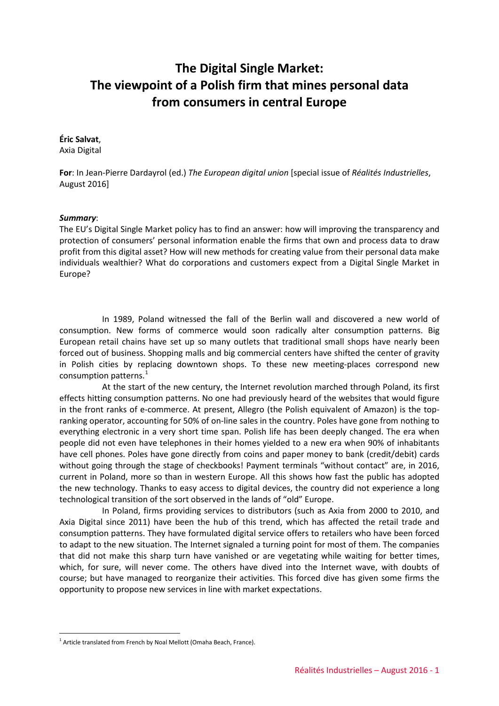# **The Digital Single Market: The viewpoint of a Polish firm that mines personal data from consumers in central Europe**

#### **Éric Salvat**,

Axia Digital

**For**: In Jean-Pierre Dardayrol (ed.) *The European digital union* [special issue of *Réalités Industrielles*, August 2016]

### *Summary*:

The EU's Digital Single Market policy has to find an answer: how will improving the transparency and protection of consumers' personal information enable the firms that own and process data to draw profit from this digital asset? How will new methods for creating value from their personal data make individuals wealthier? What do corporations and customers expect from a Digital Single Market in Europe?

In 1989, Poland witnessed the fall of the Berlin wall and discovered a new world of consumption. New forms of commerce would soon radically alter consumption patterns. Big European retail chains have set up so many outlets that traditional small shops have nearly been forced out of business. Shopping malls and big commercial centers have shifted the center of gravity in Polish cities by replacing downtown shops. To these new meeting-places correspond new consumption patterns.<sup>[1](#page-0-0)</sup>

At the start of the new century, the Internet revolution marched through Poland, its first effects hitting consumption patterns. No one had previously heard of the websites that would figure in the front ranks of e-commerce. At present, Allegro (the Polish equivalent of Amazon) is the topranking operator, accounting for 50% of on-line sales in the country. Poles have gone from nothing to everything electronic in a very short time span. Polish life has been deeply changed. The era when people did not even have telephones in their homes yielded to a new era when 90% of inhabitants have cell phones. Poles have gone directly from coins and paper money to bank (credit/debit) cards without going through the stage of checkbooks! Payment terminals "without contact" are, in 2016, current in Poland, more so than in western Europe. All this shows how fast the public has adopted the new technology. Thanks to easy access to digital devices, the country did not experience a long technological transition of the sort observed in the lands of "old" Europe.

In Poland, firms providing services to distributors (such as Axia from 2000 to 2010, and Axia Digital since 2011) have been the hub of this trend, which has affected the retail trade and consumption patterns. They have formulated digital service offers to retailers who have been forced to adapt to the new situation. The Internet signaled a turning point for most of them. The companies that did not make this sharp turn have vanished or are vegetating while waiting for better times, which, for sure, will never come. The others have dived into the Internet wave, with doubts of course; but have managed to reorganize their activities. This forced dive has given some firms the opportunity to propose new services in line with market expectations.

-

<span id="page-0-0"></span> $1$  Article translated from French by Noal Mellott (Omaha Beach, France).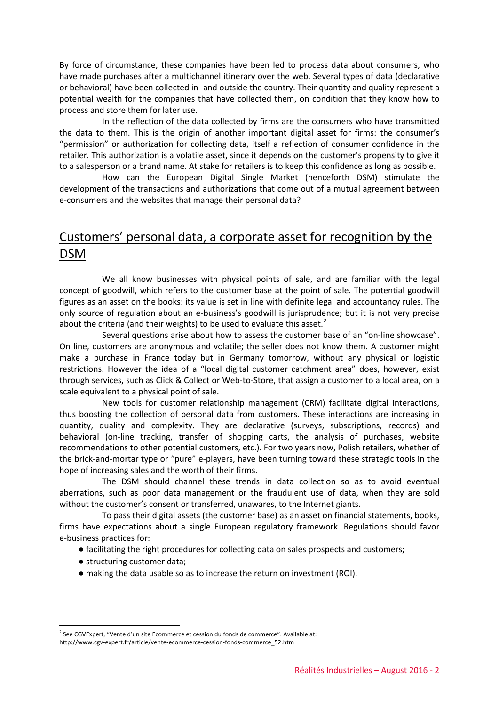By force of circumstance, these companies have been led to process data about consumers, who have made purchases after a multichannel itinerary over the web. Several types of data (declarative or behavioral) have been collected in- and outside the country. Their quantity and quality represent a potential wealth for the companies that have collected them, on condition that they know how to process and store them for later use.

In the reflection of the data collected by firms are the consumers who have transmitted the data to them. This is the origin of another important digital asset for firms: the consumer's "permission" or authorization for collecting data, itself a reflection of consumer confidence in the retailer. This authorization is a volatile asset, since it depends on the customer's propensity to give it to a salesperson or a brand name. At stake for retailers is to keep this confidence as long as possible.

How can the European Digital Single Market (henceforth DSM) stimulate the development of the transactions and authorizations that come out of a mutual agreement between e-consumers and the websites that manage their personal data?

## Customers' personal data, a corporate asset for recognition by the DSM

We all know businesses with physical points of sale, and are familiar with the legal concept of goodwill, which refers to the customer base at the point of sale. The potential goodwill figures as an asset on the books: its value is set in line with definite legal and accountancy rules. The only source of regulation about an e-business's goodwill is jurisprudence; but it is not very precise about the criteria (and their weights) to be used to evaluate this asset. $2$ 

Several questions arise about how to assess the customer base of an "on-line showcase". On line, customers are anonymous and volatile; the seller does not know them. A customer might make a purchase in France today but in Germany tomorrow, without any physical or logistic restrictions. However the idea of a "local digital customer catchment area" does, however, exist through services, such as Click & Collect or Web-to-Store, that assign a customer to a local area, on a scale equivalent to a physical point of sale.

New tools for customer relationship management (CRM) facilitate digital interactions, thus boosting the collection of personal data from customers. These interactions are increasing in quantity, quality and complexity. They are declarative (surveys, subscriptions, records) and behavioral (on-line tracking, transfer of shopping carts, the analysis of purchases, website recommendations to other potential customers, etc.). For two years now, Polish retailers, whether of the brick-and-mortar type or "pure" e-players, have been turning toward these strategic tools in the hope of increasing sales and the worth of their firms.

The DSM should channel these trends in data collection so as to avoid eventual aberrations, such as poor data management or the fraudulent use of data, when they are sold without the customer's consent or transferred, unawares, to the Internet giants.

To pass their digital assets (the customer base) as an asset on financial statements, books, firms have expectations about a single European regulatory framework. Regulations should favor e-business practices for:

- facilitating the right procedures for collecting data on sales prospects and customers;
- structuring customer data;
- making the data usable so as to increase the return on investment (ROI).

<span id="page-1-0"></span><sup>&</sup>lt;u>.</u>  $2$  See CGVExpert, "Vente d'un site Ecommerce et cession du fonds de commerce". Available at:

[http://www.cgv-expert.fr/article/vente-ecommerce-cession-fonds-commerce\\_52.htm](http://www.cgv-expert.fr/article/vente-ecommerce-cession-fonds-commerce_52.htm)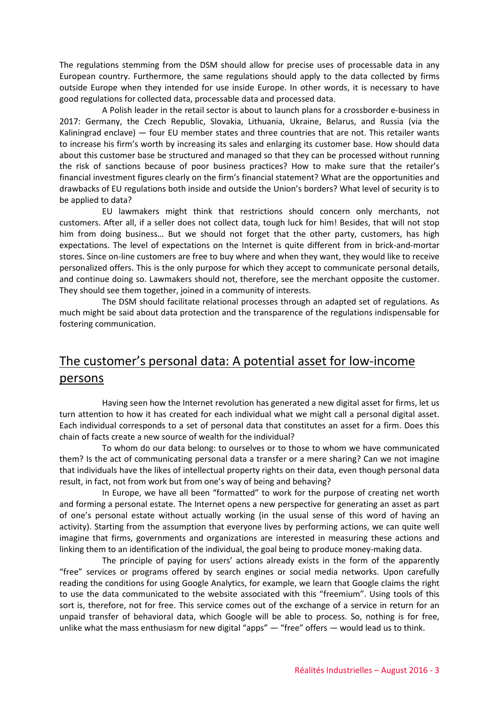The regulations stemming from the DSM should allow for precise uses of processable data in any European country. Furthermore, the same regulations should apply to the data collected by firms outside Europe when they intended for use inside Europe. In other words, it is necessary to have good regulations for collected data, processable data and processed data.

A Polish leader in the retail sector is about to launch plans for a crossborder e-business in 2017: Germany, the Czech Republic, Slovakia, Lithuania, Ukraine, Belarus, and Russia (via the Kaliningrad enclave) — four EU member states and three countries that are not. This retailer wants to increase his firm's worth by increasing its sales and enlarging its customer base. How should data about this customer base be structured and managed so that they can be processed without running the risk of sanctions because of poor business practices? How to make sure that the retailer's financial investment figures clearly on the firm's financial statement? What are the opportunities and drawbacks of EU regulations both inside and outside the Union's borders? What level of security is to be applied to data?

EU lawmakers might think that restrictions should concern only merchants, not customers. After all, if a seller does not collect data, tough luck for him! Besides, that will not stop him from doing business… But we should not forget that the other party, customers, has high expectations. The level of expectations on the Internet is quite different from in brick-and-mortar stores. Since on-line customers are free to buy where and when they want, they would like to receive personalized offers. This is the only purpose for which they accept to communicate personal details, and continue doing so. Lawmakers should not, therefore, see the merchant opposite the customer. They should see them together, joined in a community of interests.

The DSM should facilitate relational processes through an adapted set of regulations. As much might be said about data protection and the transparence of the regulations indispensable for fostering communication.

# The customer's personal data: A potential asset for low-income persons

Having seen how the Internet revolution has generated a new digital asset for firms, let us turn attention to how it has created for each individual what we might call a personal digital asset. Each individual corresponds to a set of personal data that constitutes an asset for a firm. Does this chain of facts create a new source of wealth for the individual?

To whom do our data belong: to ourselves or to those to whom we have communicated them? Is the act of communicating personal data a transfer or a mere sharing? Can we not imagine that individuals have the likes of intellectual property rights on their data, even though personal data result, in fact, not from work but from one's way of being and behaving?

In Europe, we have all been "formatted" to work for the purpose of creating net worth and forming a personal estate. The Internet opens a new perspective for generating an asset as part of one's personal estate without actually working (in the usual sense of this word of having an activity). Starting from the assumption that everyone lives by performing actions, we can quite well imagine that firms, governments and organizations are interested in measuring these actions and linking them to an identification of the individual, the goal being to produce money-making data.

The principle of paying for users' actions already exists in the form of the apparently "free" services or programs offered by search engines or social media networks. Upon carefully reading the conditions for using Google Analytics, for example, we learn that Google claims the right to use the data communicated to the website associated with this "freemium". Using tools of this sort is, therefore, not for free. This service comes out of the exchange of a service in return for an unpaid transfer of behavioral data, which Google will be able to process. So, nothing is for free, unlike what the mass enthusiasm for new digital "apps" — "free" offers — would lead us to think.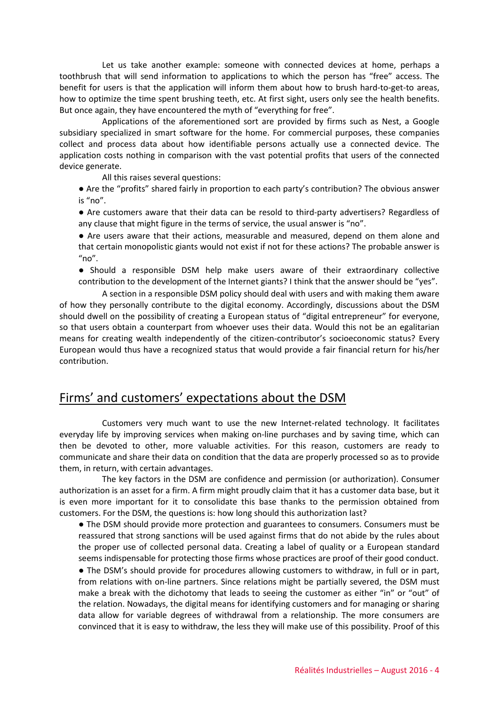Let us take another example: someone with connected devices at home, perhaps a toothbrush that will send information to applications to which the person has "free" access. The benefit for users is that the application will inform them about how to brush hard-to-get-to areas, how to optimize the time spent brushing teeth, etc. At first sight, users only see the health benefits. But once again, they have encountered the myth of "everything for free".

Applications of the aforementioned sort are provided by firms such as Nest, a Google subsidiary specialized in smart software for the home. For commercial purposes, these companies collect and process data about how identifiable persons actually use a connected device. The application costs nothing in comparison with the vast potential profits that users of the connected device generate.

All this raises several questions:

- Are the "profits" shared fairly in proportion to each party's contribution? The obvious answer is "no".
- Are customers aware that their data can be resold to third-party advertisers? Regardless of any clause that might figure in the terms of service, the usual answer is "no".
- Are users aware that their actions, measurable and measured, depend on them alone and that certain monopolistic giants would not exist if not for these actions? The probable answer is  $"no"$ .
- Should a responsible DSM help make users aware of their extraordinary collective contribution to the development of the Internet giants? I think that the answer should be "yes".

A section in a responsible DSM policy should deal with users and with making them aware of how they personally contribute to the digital economy. Accordingly, discussions about the DSM should dwell on the possibility of creating a European status of "digital entrepreneur" for everyone, so that users obtain a counterpart from whoever uses their data. Would this not be an egalitarian means for creating wealth independently of the citizen-contributor's socioeconomic status? Every European would thus have a recognized status that would provide a fair financial return for his/her contribution.

## Firms' and customers' expectations about the DSM

Customers very much want to use the new Internet-related technology. It facilitates everyday life by improving services when making on-line purchases and by saving time, which can then be devoted to other, more valuable activities. For this reason, customers are ready to communicate and share their data on condition that the data are properly processed so as to provide them, in return, with certain advantages.

The key factors in the DSM are confidence and permission (or authorization). Consumer authorization is an asset for a firm. A firm might proudly claim that it has a customer data base, but it is even more important for it to consolidate this base thanks to the permission obtained from customers. For the DSM, the questions is: how long should this authorization last?

● The DSM should provide more protection and guarantees to consumers. Consumers must be reassured that strong sanctions will be used against firms that do not abide by the rules about the proper use of collected personal data. Creating a label of quality or a European standard seems indispensable for protecting those firms whose practices are proof of their good conduct.

● The DSM's should provide for procedures allowing customers to withdraw, in full or in part, from relations with on-line partners. Since relations might be partially severed, the DSM must make a break with the dichotomy that leads to seeing the customer as either "in" or "out" of the relation. Nowadays, the digital means for identifying customers and for managing or sharing data allow for variable degrees of withdrawal from a relationship. The more consumers are convinced that it is easy to withdraw, the less they will make use of this possibility. Proof of this